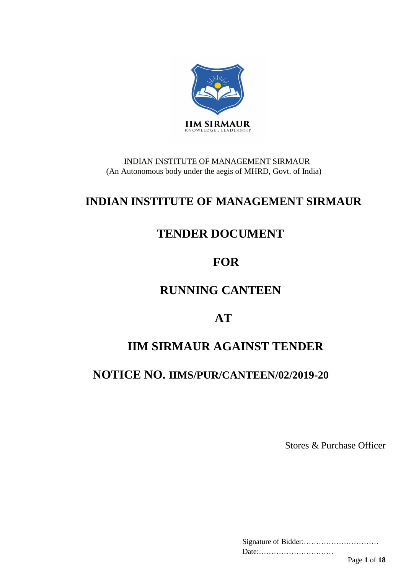

INDIAN INSTITUTE OF MANAGEMENT SIRMAUR (An Autonomous body under the aegis of MHRD, Govt. of India)

# **INDIAN INSTITUTE OF MANAGEMENT SIRMAUR**

# **TENDER DOCUMENT**

# **FOR**

# **RUNNING CANTEEN**

# **AT**

# **IIM SIRMAUR AGAINST TENDER**

# **NOTICE NO. IIMS/PUR/CANTEEN/02/2019-20**

Stores & Purchase Officer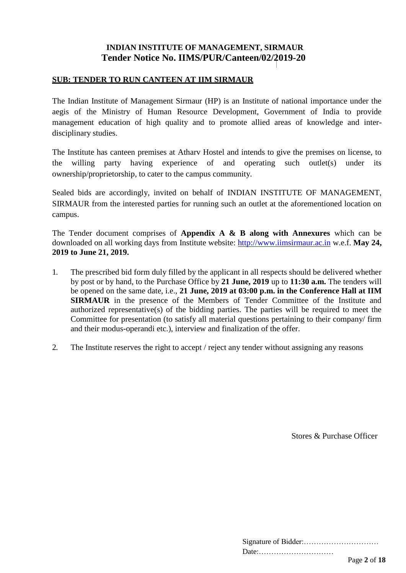## **INDIAN INSTITUTE OF MANAGEMENT, SIRMAUR Tender Notice No. IIMS/PUR/Canteen/02/2019-20**

### **SUB: TENDER TO RUN CANTEEN AT IIM SIRMAUR**

The Indian Institute of Management Sirmaur (HP) is an Institute of national importance under the aegis of the Ministry of Human Resource Development, Government of India to provide management education of high quality and to promote allied areas of knowledge and interdisciplinary studies.

The Institute has canteen premises at Atharv Hostel and intends to give the premises on license, to the willing party having experience of and operating such outlet(s) under its ownership/proprietorship, to cater to the campus community.

Sealed bids are accordingly, invited on behalf of INDIAN INSTITUTE OF MANAGEMENT, SIRMAUR from the interested parties for running such an outlet at the aforementioned location on campus.

The Tender document comprises of **Appendix A & B along with Annexures** which can be downloaded on all working days from Institute website: [http://www.iimsirmaur.ac.in](http://www.iimsirmaur.ac.in/) w.e.f. **May 24, 2019 to June 21, 2019.** 

- 1. The prescribed bid form duly filled by the applicant in all respects should be delivered whether by post or by hand, to the Purchase Office by **21 June, 2019** up to **11:30 a.m.** The tenders will be opened on the same date, i.e., **21 June, 2019 at 03:00 p.m. in the Conference Hall at IIM SIRMAUR** in the presence of the Members of Tender Committee of the Institute and authorized representative(s) of the bidding parties. The parties will be required to meet the Committee for presentation (to satisfy all material questions pertaining to their company/ firm and their modus-operandi etc.), interview and finalization of the offer.
- 2. The Institute reserves the right to accept / reject any tender without assigning any reasons

Stores & Purchase Officer

| Date: |              |
|-------|--------------|
|       | Page 2 of 18 |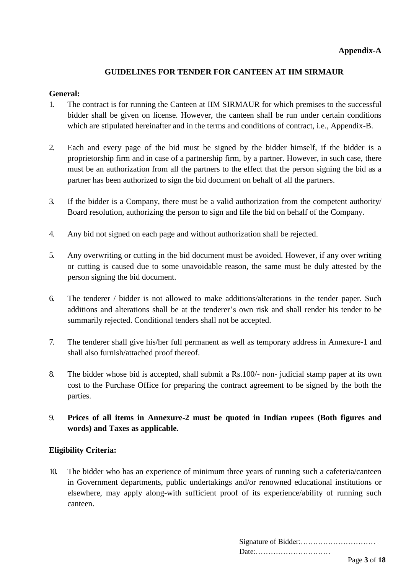## **GUIDELINES FOR TENDER FOR CANTEEN AT IIM SIRMAUR**

### **General:**

- 1. The contract is for running the Canteen at IIM SIRMAUR for which premises to the successful bidder shall be given on license. However, the canteen shall be run under certain conditions which are stipulated hereinafter and in the terms and conditions of contract, i.e., Appendix-B.
- 2. Each and every page of the bid must be signed by the bidder himself, if the bidder is a proprietorship firm and in case of a partnership firm, by a partner. However, in such case, there must be an authorization from all the partners to the effect that the person signing the bid as a partner has been authorized to sign the bid document on behalf of all the partners.
- 3. If the bidder is a Company, there must be a valid authorization from the competent authority/ Board resolution, authorizing the person to sign and file the bid on behalf of the Company.
- 4. Any bid not signed on each page and without authorization shall be rejected.
- 5. Any overwriting or cutting in the bid document must be avoided. However, if any over writing or cutting is caused due to some unavoidable reason, the same must be duly attested by the person signing the bid document.
- 6. The tenderer / bidder is not allowed to make additions/alterations in the tender paper. Such additions and alterations shall be at the tenderer's own risk and shall render his tender to be summarily rejected. Conditional tenders shall not be accepted.
- 7. The tenderer shall give his/her full permanent as well as temporary address in Annexure-1 and shall also furnish/attached proof thereof.
- 8. The bidder whose bid is accepted, shall submit a Rs.100/- non- judicial stamp paper at its own cost to the Purchase Office for preparing the contract agreement to be signed by the both the parties.
- 9. **Prices of all items in Annexure-2 must be quoted in Indian rupees (Both figures and words) and Taxes as applicable.**

## **Eligibility Criteria:**

10. The bidder who has an experience of minimum three years of running such a cafeteria/canteen in Government departments, public undertakings and/or renowned educational institutions or elsewhere, may apply along-with sufficient proof of its experience/ability of running such canteen.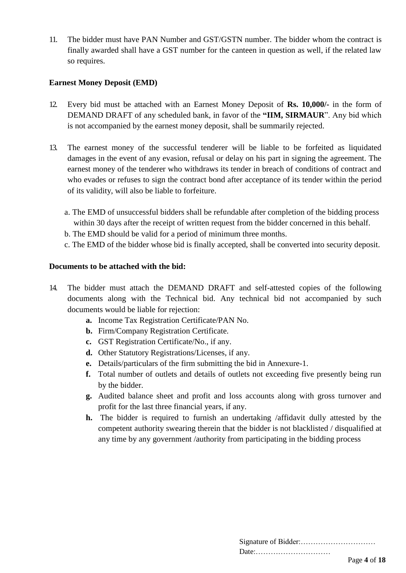11. The bidder must have PAN Number and GST/GSTN number. The bidder whom the contract is finally awarded shall have a GST number for the canteen in question as well, if the related law so requires.

### **Earnest Money Deposit (EMD)**

- 12. Every bid must be attached with an Earnest Money Deposit of **Rs. 10,000/-** in the form of DEMAND DRAFT of any scheduled bank, in favor of the **"IIM, SIRMAUR**". Any bid which is not accompanied by the earnest money deposit, shall be summarily rejected.
- 13. The earnest money of the successful tenderer will be liable to be forfeited as liquidated damages in the event of any evasion, refusal or delay on his part in signing the agreement. The earnest money of the tenderer who withdraws its tender in breach of conditions of contract and who evades or refuses to sign the contract bond after acceptance of its tender within the period of its validity, will also be liable to forfeiture.
	- a. The EMD of unsuccessful bidders shall be refundable after completion of the bidding process within 30 days after the receipt of written request from the bidder concerned in this behalf.
	- b. The EMD should be valid for a period of minimum three months.
	- c. The EMD of the bidder whose bid is finally accepted, shall be converted into security deposit.

#### **Documents to be attached with the bid:**

- 14. The bidder must attach the DEMAND DRAFT and self-attested copies of the following documents along with the Technical bid. Any technical bid not accompanied by such documents would be liable for rejection:
	- **a.** Income Tax Registration Certificate/PAN No.
	- **b.** Firm/Company Registration Certificate.
	- **c.** GST Registration Certificate/No., if any.
	- **d.** Other Statutory Registrations/Licenses, if any.
	- **e.** Details/particulars of the firm submitting the bid in Annexure-1.
	- **f.** Total number of outlets and details of outlets not exceeding five presently being run by the bidder.
	- **g.** Audited balance sheet and profit and loss accounts along with gross turnover and profit for the last three financial years, if any.
	- **h.** The bidder is required to furnish an undertaking /affidavit dully attested by the competent authority swearing therein that the bidder is not blacklisted / disqualified at any time by any government /authority from participating in the bidding process

| Date: |                           |  |
|-------|---------------------------|--|
|       | $\mathbf{r}$ $\mathbf{r}$ |  |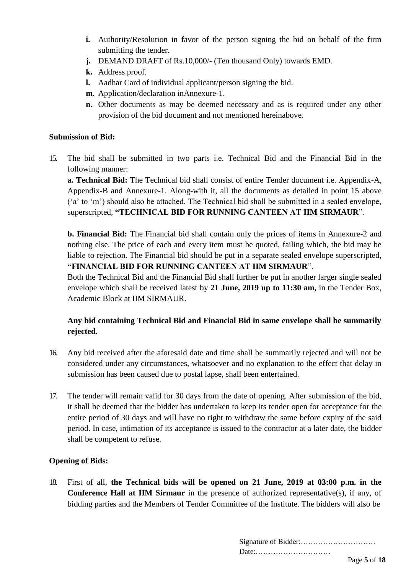- **i.** Authority/Resolution in favor of the person signing the bid on behalf of the firm submitting the tender.
- **j.** DEMAND DRAFT of Rs.10,000/- (Ten thousand Only) towards EMD.
- **k.** Address proof.
- **l.** Aadhar Card of individual applicant/person signing the bid.
- **m.** Application/declaration inAnnexure-1.
- **n.** Other documents as may be deemed necessary and as is required under any other provision of the bid document and not mentioned hereinabove.

#### **Submission of Bid:**

15. The bid shall be submitted in two parts i.e. Technical Bid and the Financial Bid in the following manner:

**a. Technical Bid:** The Technical bid shall consist of entire Tender document i.e. Appendix-A, Appendix-B and Annexure-1. Along-with it, all the documents as detailed in point 15 above ('a' to 'm') should also be attached. The Technical bid shall be submitted in a sealed envelope, superscripted, **"TECHNICAL BID FOR RUNNING CANTEEN AT IIM SIRMAUR**".

**b. Financial Bid:** The Financial bid shall contain only the prices of items in Annexure-2 and nothing else. The price of each and every item must be quoted, failing which, the bid may be liable to rejection. The Financial bid should be put in a separate sealed envelope superscripted, **"FINANCIAL BID FOR RUNNING CANTEEN AT IIM SIRMAUR**".

Both the Technical Bid and the Financial Bid shall further be put in another larger single sealed envelope which shall be received latest by **21 June, 2019 up to 11:30 am,** in the Tender Box, Academic Block at IIM SIRMAUR.

## **Any bid containing Technical Bid and Financial Bid in same envelope shall be summarily rejected.**

- 16. Any bid received after the aforesaid date and time shall be summarily rejected and will not be considered under any circumstances, whatsoever and no explanation to the effect that delay in submission has been caused due to postal lapse, shall been entertained.
- 17. The tender will remain valid for 30 days from the date of opening. After submission of the bid, it shall be deemed that the bidder has undertaken to keep its tender open for acceptance for the entire period of 30 days and will have no right to withdraw the same before expiry of the said period. In case, intimation of its acceptance is issued to the contractor at a later date, the bidder shall be competent to refuse.

## **Opening of Bids:**

18. First of all, **the Technical bids will be opened on 21 June, 2019 at 03:00 p.m. in the Conference Hall at IIM Sirmaur** in the presence of authorized representative(s), if any, of bidding parties and the Members of Tender Committee of the Institute. The bidders will also be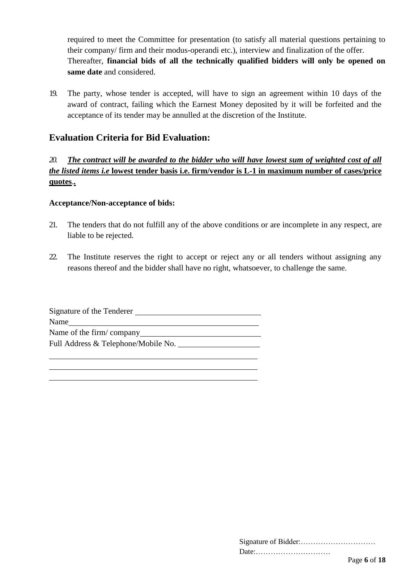required to meet the Committee for presentation (to satisfy all material questions pertaining to their company/ firm and their modus-operandi etc.), interview and finalization of the offer. Thereafter, **financial bids of all the technically qualified bidders will only be opened on same date** and considered.

19. The party, whose tender is accepted, will have to sign an agreement within 10 days of the award of contract, failing which the Earnest Money deposited by it will be forfeited and the acceptance of its tender may be annulled at the discretion of the Institute.

## **Evaluation Criteria for Bid Evaluation:**

## *20. The contract will be awarded to the bidder who will have lowest sum of weighted cost of all the listed items i.e* **lowest tender basis i.e. firm/vendor is L-1 in maximum number of cases/price quotes**.*.*

#### **Acceptance/Non-acceptance of bids:**

- 21. The tenders that do not fulfill any of the above conditions or are incomplete in any respect, are liable to be rejected.
- 22. The Institute reserves the right to accept or reject any or all tenders without assigning any reasons thereof and the bidder shall have no right, whatsoever, to challenge the same.

| Signature of the Tenderer           |
|-------------------------------------|
| Name                                |
| Name of the firm/company            |
| Full Address & Telephone/Mobile No. |
|                                     |

| Date: |              |
|-------|--------------|
|       | Page 6 of 18 |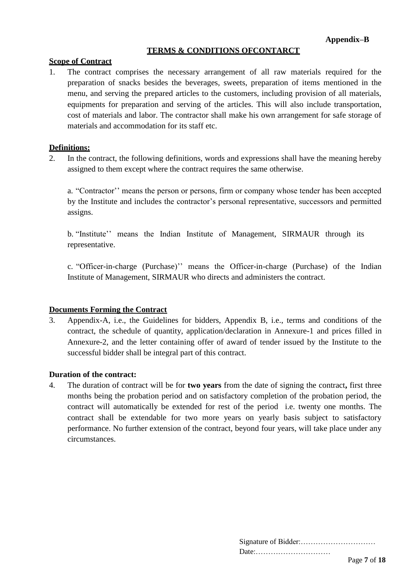### **TERMS & CONDITIONS OFCONTARCT**

#### **Scope of Contract**

1. The contract comprises the necessary arrangement of all raw materials required for the preparation of snacks besides the beverages, sweets, preparation of items mentioned in the menu, and serving the prepared articles to the customers, including provision of all materials, equipments for preparation and serving of the articles. This will also include transportation, cost of materials and labor. The contractor shall make his own arrangement for safe storage of materials and accommodation for its staff etc.

#### **Definitions:**

2. In the contract, the following definitions, words and expressions shall have the meaning hereby assigned to them except where the contract requires the same otherwise.

a. "Contractor'' means the person or persons, firm or company whose tender has been accepted by the Institute and includes the contractor's personal representative, successors and permitted assigns.

b. "Institute'' means the Indian Institute of Management, SIRMAUR through its representative.

c. "Officer-in-charge (Purchase)'' means the Officer-in-charge (Purchase) of the Indian Institute of Management, SIRMAUR who directs and administers the contract.

#### **Documents Forming the Contract**

3. Appendix-A, i.e., the Guidelines for bidders, Appendix B, i.e., terms and conditions of the contract, the schedule of quantity, application/declaration in Annexure-1 and prices filled in Annexure-2, and the letter containing offer of award of tender issued by the Institute to the successful bidder shall be integral part of this contract.

#### **Duration of the contract:**

4. The duration of contract will be for **two years** from the date of signing the contract**,** first three months being the probation period and on satisfactory completion of the probation period, the contract will automatically be extended for rest of the period i.e. twenty one months. The contract shall be extendable for two more years on yearly basis subject to satisfactory performance. No further extension of the contract, beyond four years, will take place under any circumstances.

| Date: |              |
|-------|--------------|
|       | Page 7 of 18 |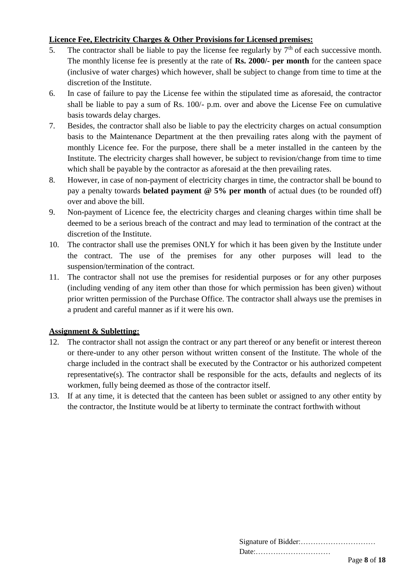## **Licence Fee, Electricity Charges & Other Provisions for Licensed premises:**

- 5. The contractor shall be liable to pay the license fee regularly by  $7<sup>th</sup>$  of each successive month. The monthly license fee is presently at the rate of **Rs. 2000/- per month** for the canteen space (inclusive of water charges) which however, shall be subject to change from time to time at the discretion of the Institute.
- 6. In case of failure to pay the License fee within the stipulated time as aforesaid, the contractor shall be liable to pay a sum of Rs. 100/- p.m. over and above the License Fee on cumulative basis towards delay charges.
- 7. Besides, the contractor shall also be liable to pay the electricity charges on actual consumption basis to the Maintenance Department at the then prevailing rates along with the payment of monthly Licence fee. For the purpose, there shall be a meter installed in the canteen by the Institute. The electricity charges shall however, be subject to revision/change from time to time which shall be payable by the contractor as aforesaid at the then prevailing rates.
- 8. However, in case of non-payment of electricity charges in time, the contractor shall be bound to pay a penalty towards **belated payment @ 5% per month** of actual dues (to be rounded off) over and above the bill.
- 9. Non-payment of Licence fee, the electricity charges and cleaning charges within time shall be deemed to be a serious breach of the contract and may lead to termination of the contract at the discretion of the Institute.
- 10. The contractor shall use the premises ONLY for which it has been given by the Institute under the contract. The use of the premises for any other purposes will lead to the suspension/termination of the contract.
- 11. The contractor shall not use the premises for residential purposes or for any other purposes (including vending of any item other than those for which permission has been given) without prior written permission of the Purchase Office. The contractor shall always use the premises in a prudent and careful manner as if it were his own.

## **Assignment & Subletting:**

- 12. The contractor shall not assign the contract or any part thereof or any benefit or interest thereon or there-under to any other person without written consent of the Institute. The whole of the charge included in the contract shall be executed by the Contractor or his authorized competent representative(s). The contractor shall be responsible for the acts, defaults and neglects of its workmen, fully being deemed as those of the contractor itself.
- 13. If at any time, it is detected that the canteen has been sublet or assigned to any other entity by the contractor, the Institute would be at liberty to terminate the contract forthwith without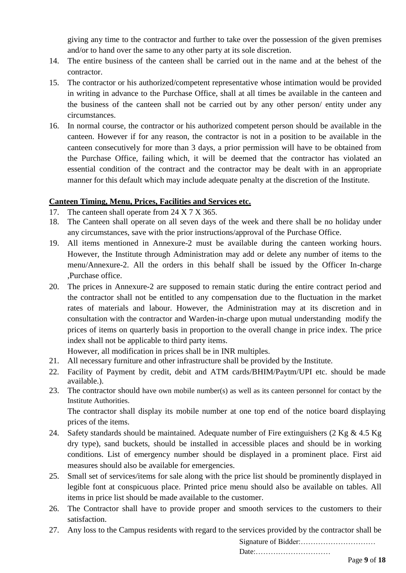giving any time to the contractor and further to take over the possession of the given premises and/or to hand over the same to any other party at its sole discretion.

- 14. The entire business of the canteen shall be carried out in the name and at the behest of the contractor.
- 15. The contractor or his authorized/competent representative whose intimation would be provided in writing in advance to the Purchase Office, shall at all times be available in the canteen and the business of the canteen shall not be carried out by any other person/ entity under any circumstances.
- 16. In normal course, the contractor or his authorized competent person should be available in the canteen. However if for any reason, the contractor is not in a position to be available in the canteen consecutively for more than 3 days, a prior permission will have to be obtained from the Purchase Office, failing which, it will be deemed that the contractor has violated an essential condition of the contract and the contractor may be dealt with in an appropriate manner for this default which may include adequate penalty at the discretion of the Institute.

## **Canteen Timing, Menu, Prices, Facilities and Services etc.**

- 17. The canteen shall operate from 24 X 7 X 365.
- 18. The Canteen shall operate on all seven days of the week and there shall be no holiday under any circumstances, save with the prior instructions/approval of the Purchase Office.
- 19. All items mentioned in Annexure-2 must be available during the canteen working hours. However, the Institute through Administration may add or delete any number of items to the menu/Annexure-2. All the orders in this behalf shall be issued by the Officer In-charge ,Purchase office.
- 20. The prices in Annexure-2 are supposed to remain static during the entire contract period and the contractor shall not be entitled to any compensation due to the fluctuation in the market rates of materials and labour. However, the Administration may at its discretion and in consultation with the contractor and Warden-in-charge upon mutual understanding modify the prices of items on quarterly basis in proportion to the overall change in price index. The price index shall not be applicable to third party items.

However, all modification in prices shall be in INR multiples.

- 21. All necessary furniture and other infrastructure shall be provided by the Institute.
- 22. Facility of Payment by credit, debit and ATM cards/BHIM/Paytm/UPI etc. should be made available.).
- 23. The contractor should have own mobile number(s) as well as its canteen personnel for contact by the Institute Authorities.

The contractor shall display its mobile number at one top end of the notice board displaying prices of the items.

- 24. Safety standards should be maintained. Adequate number of Fire extinguishers (2 Kg & 4.5 Kg dry type), sand buckets, should be installed in accessible places and should be in working conditions. List of emergency number should be displayed in a prominent place. First aid measures should also be available for emergencies.
- 25. Small set of services/items for sale along with the price list should be prominently displayed in legible font at conspicuous place. Printed price menu should also be available on tables. All items in price list should be made available to the customer.
- 26. The Contractor shall have to provide proper and smooth services to the customers to their satisfaction.
- 27. Any loss to the Campus residents with regard to the services provided by the contractor shall be

Signature of Bidder:…………………………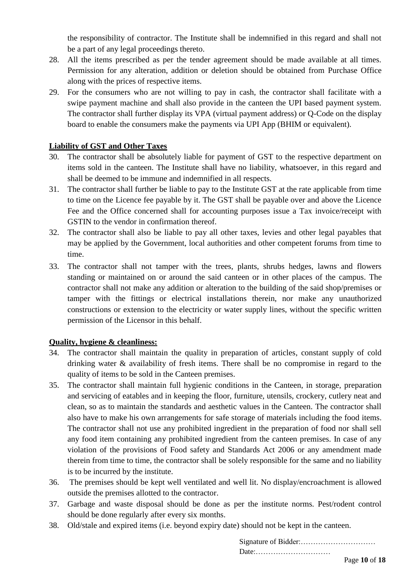the responsibility of contractor. The Institute shall be indemnified in this regard and shall not be a part of any legal proceedings thereto.

- 28. All the items prescribed as per the tender agreement should be made available at all times. Permission for any alteration, addition or deletion should be obtained from Purchase Office along with the prices of respective items.
- 29. For the consumers who are not willing to pay in cash, the contractor shall facilitate with a swipe payment machine and shall also provide in the canteen the UPI based payment system. The contractor shall further display its VPA (virtual payment address) or Q-Code on the display board to enable the consumers make the payments via UPI App (BHIM or equivalent).

## **Liability of GST and Other Taxes**

- 30. The contractor shall be absolutely liable for payment of GST to the respective department on items sold in the canteen. The Institute shall have no liability, whatsoever, in this regard and shall be deemed to be immune and indemnified in all respects.
- 31. The contractor shall further be liable to pay to the Institute GST at the rate applicable from time to time on the Licence fee payable by it. The GST shall be payable over and above the Licence Fee and the Office concerned shall for accounting purposes issue a Tax invoice/receipt with GSTIN to the vendor in confirmation thereof.
- 32. The contractor shall also be liable to pay all other taxes, levies and other legal payables that may be applied by the Government, local authorities and other competent forums from time to time.
- 33. The contractor shall not tamper with the trees, plants, shrubs hedges, lawns and flowers standing or maintained on or around the said canteen or in other places of the campus. The contractor shall not make any addition or alteration to the building of the said shop/premises or tamper with the fittings or electrical installations therein, nor make any unauthorized constructions or extension to the electricity or water supply lines, without the specific written permission of the Licensor in this behalf.

## **Quality, hygiene & cleanliness:**

- 34. The contractor shall maintain the quality in preparation of articles, constant supply of cold drinking water & availability of fresh items. There shall be no compromise in regard to the quality of items to be sold in the Canteen premises.
- 35. The contractor shall maintain full hygienic conditions in the Canteen, in storage, preparation and servicing of eatables and in keeping the floor, furniture, utensils, crockery, cutlery neat and clean, so as to maintain the standards and aesthetic values in the Canteen. The contractor shall also have to make his own arrangements for safe storage of materials including the food items. The contractor shall not use any prohibited ingredient in the preparation of food nor shall sell any food item containing any prohibited ingredient from the canteen premises. In case of any violation of the provisions of Food safety and Standards Act 2006 or any amendment made therein from time to time, the contractor shall be solely responsible for the same and no liability is to be incurred by the institute.
- 36. The premises should be kept well ventilated and well lit. No display/encroachment is allowed outside the premises allotted to the contractor.
- 37. Garbage and waste disposal should be done as per the institute norms. Pest/rodent control should be done regularly after every six months.
- 38. Old/stale and expired items (i.e. beyond expiry date) should not be kept in the canteen.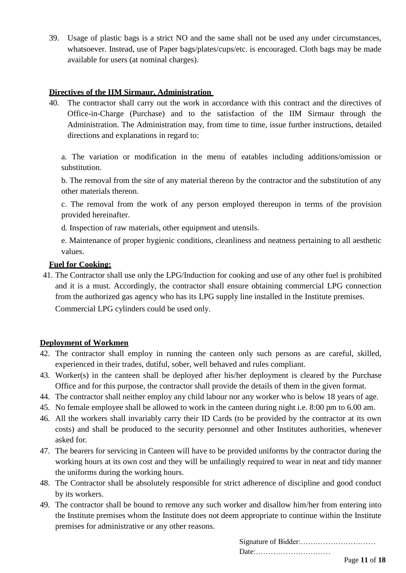39. Usage of plastic bags is a strict NO and the same shall not be used any under circumstances, whatsoever. Instead, use of Paper bags/plates/cups/etc. is encouraged. Cloth bags may be made available for users (at nominal charges).

## **Directives of the IIM Sirmaur, Administration**

40. The contractor shall carry out the work in accordance with this contract and the directives of Office-in-Charge (Purchase) and to the satisfaction of the IIM Sirmaur through the Administration. The Administration may, from time to time, issue further instructions, detailed directions and explanations in regard to:

a. The variation or modification in the menu of eatables including additions/omission or substitution.

b. The removal from the site of any material thereon by the contractor and the substitution of any other materials thereon.

c. The removal from the work of any person employed thereupon in terms of the provision provided hereinafter.

d. Inspection of raw materials, other equipment and utensils.

e. Maintenance of proper hygienic conditions, cleanliness and neatness pertaining to all aesthetic values.

## **Fuel for Cooking:**

41. The Contractor shall use only the LPG/Induction for cooking and use of any other fuel is prohibited and it is a must. Accordingly, the contractor shall ensure obtaining commercial LPG connection from the authorized gas agency who has its LPG supply line installed in the Institute premises. Commercial LPG cylinders could be used only.

## **Deployment of Workmen**

- 42. The contractor shall employ in running the canteen only such persons as are careful, skilled, experienced in their trades, dutiful, sober, well behaved and rules compliant.
- 43. Worker(s) in the canteen shall be deployed after his/her deployment is cleared by the Purchase Office and for this purpose, the contractor shall provide the details of them in the given format.
- 44. The contractor shall neither employ any child labour nor any worker who is below 18 years of age.
- 45. No female employee shall be allowed to work in the canteen during night i.e. 8:00 pm to 6.00 am.
- 46. All the workers shall invariably carry their ID Cards (to be provided by the contractor at its own costs) and shall be produced to the security personnel and other Institutes authorities, whenever asked for.
- 47. The bearers for servicing in Canteen will have to be provided uniforms by the contractor during the working hours at its own cost and they will be unfailingly required to wear in neat and tidy manner the uniforms during the working hours.
- 48. The Contractor shall be absolutely responsible for strict adherence of discipline and good conduct by its workers.
- 49. The contractor shall be bound to remove any such worker and disallow him/her from entering into the Institute premises whom the Institute does not deem appropriate to continue within the Institute premises for administrative or any other reasons.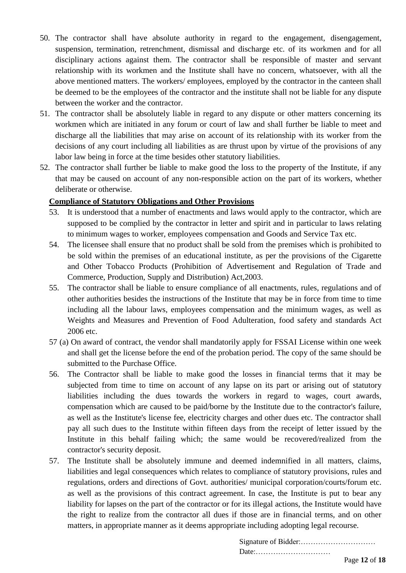- 50. The contractor shall have absolute authority in regard to the engagement, disengagement, suspension, termination, retrenchment, dismissal and discharge etc. of its workmen and for all disciplinary actions against them. The contractor shall be responsible of master and servant relationship with its workmen and the Institute shall have no concern, whatsoever, with all the above mentioned matters. The workers/ employees, employed by the contractor in the canteen shall be deemed to be the employees of the contractor and the institute shall not be liable for any dispute between the worker and the contractor.
- 51. The contractor shall be absolutely liable in regard to any dispute or other matters concerning its workmen which are initiated in any forum or court of law and shall further be liable to meet and discharge all the liabilities that may arise on account of its relationship with its worker from the decisions of any court including all liabilities as are thrust upon by virtue of the provisions of any labor law being in force at the time besides other statutory liabilities.
- 52. The contractor shall further be liable to make good the loss to the property of the Institute, if any that may be caused on account of any non-responsible action on the part of its workers, whether deliberate or otherwise.

## **Compliance of Statutory Obligations and Other Provisions**

- 53. It is understood that a number of enactments and laws would apply to the contractor, which are supposed to be complied by the contractor in letter and spirit and in particular to laws relating to minimum wages to worker, employees compensation and Goods and Service Tax etc.
- 54. The licensee shall ensure that no product shall be sold from the premises which is prohibited to be sold within the premises of an educational institute, as per the provisions of the Cigarette and Other Tobacco Products (Prohibition of Advertisement and Regulation of Trade and Commerce, Production, Supply and Distribution) Act,2003.
- 55. The contractor shall be liable to ensure compliance of all enactments, rules, regulations and of other authorities besides the instructions of the Institute that may be in force from time to time including all the labour laws, employees compensation and the minimum wages, as well as Weights and Measures and Prevention of Food Adulteration, food safety and standards Act 2006 etc.
- 57 (a) On award of contract, the vendor shall mandatorily apply for FSSAI License within one week and shall get the license before the end of the probation period. The copy of the same should be submitted to the Purchase Office.
- 56. The Contractor shall be liable to make good the losses in financial terms that it may be subjected from time to time on account of any lapse on its part or arising out of statutory liabilities including the dues towards the workers in regard to wages, court awards, compensation which are caused to be paid/borne by the Institute due to the contractor's failure, as well as the Institute's license fee, electricity charges and other dues etc. The contractor shall pay all such dues to the Institute within fifteen days from the receipt of letter issued by the Institute in this behalf failing which; the same would be recovered/realized from the contractor's security deposit.
- 57. The Institute shall be absolutely immune and deemed indemnified in all matters, claims, liabilities and legal consequences which relates to compliance of statutory provisions, rules and regulations, orders and directions of Govt. authorities/ municipal corporation/courts/forum etc. as well as the provisions of this contract agreement. In case, the Institute is put to bear any liability for lapses on the part of the contractor or for its illegal actions, the Institute would have the right to realize from the contractor all dues if those are in financial terms, and on other matters, in appropriate manner as it deems appropriate including adopting legal recourse.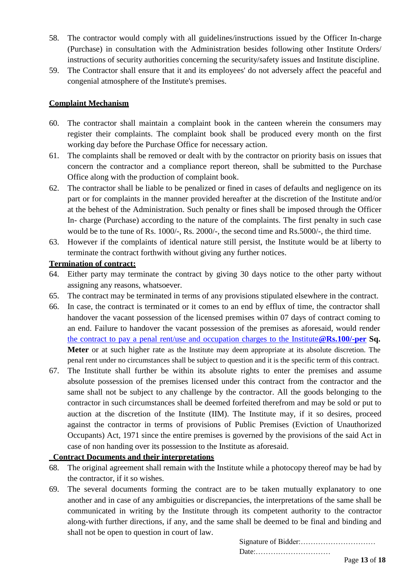- 58. The contractor would comply with all guidelines/instructions issued by the Officer In-charge (Purchase) in consultation with the Administration besides following other Institute Orders/ instructions of security authorities concerning the security/safety issues and Institute discipline.
- 59. The Contractor shall ensure that it and its employees' do not adversely affect the peaceful and congenial atmosphere of the Institute's premises.

### **Complaint Mechanism**

- 60. The contractor shall maintain a complaint book in the canteen wherein the consumers may register their complaints. The complaint book shall be produced every month on the first working day before the Purchase Office for necessary action.
- 61. The complaints shall be removed or dealt with by the contractor on priority basis on issues that concern the contractor and a compliance report thereon, shall be submitted to the Purchase Office along with the production of complaint book.
- 62. The contractor shall be liable to be penalized or fined in cases of defaults and negligence on its part or for complaints in the manner provided hereafter at the discretion of the Institute and/or at the behest of the Administration. Such penalty or fines shall be imposed through the Officer In- charge (Purchase) according to the nature of the complaints. The first penalty in such case would be to the tune of Rs. 1000/-, Rs. 2000/-, the second time and Rs.5000/-, the third time.
- 63. However if the complaints of identical nature still persist, the Institute would be at liberty to terminate the contract forthwith without giving any further notices.

### **Termination of contract:**

- 64. Either party may terminate the contract by giving 30 days notice to the other party without assigning any reasons, whatsoever.
- 65. The contract may be terminated in terms of any provisions stipulated elsewhere in the contract.
- 66. In case, the contract is terminated or it comes to an end by efflux of time, the contractor shall handover the vacant possession of the licensed premises within 07 days of contract coming to an end. Failure to handover the vacant possession of the premises as aforesaid, would render [the contract to pay a penal rent/use and occupation charges to the Institute](mailto:the%20contract%20to%20pay%20a%20penal%20rent/use%20and%20occupation%20charges%20to%20the%20Institute@Rs.100/-per)**@Rs.100/-per Sq. Meter** or at such higher rate as the Institute may deem appropriate at its absolute discretion. The penal rent under no circumstances shall be subject to question and it is the specific term of this contract.
- 67. The Institute shall further be within its absolute rights to enter the premises and assume absolute possession of the premises licensed under this contract from the contractor and the same shall not be subject to any challenge by the contractor. All the goods belonging to the contractor in such circumstances shall be deemed forfeited therefrom and may be sold or put to auction at the discretion of the Institute (IIM). The Institute may, if it so desires, proceed against the contractor in terms of provisions of Public Premises (Eviction of Unauthorized Occupants) Act, 1971 since the entire premises is governed by the provisions of the said Act in case of non handing over its possession to the Institute as aforesaid.

## **Contract Documents and their interpretations**

- 68. The original agreement shall remain with the Institute while a photocopy thereof may be had by the contractor, if it so wishes.
- 69. The several documents forming the contract are to be taken mutually explanatory to one another and in case of any ambiguities or discrepancies, the interpretations of the same shall be communicated in writing by the Institute through its competent authority to the contractor along-with further directions, if any, and the same shall be deemed to be final and binding and shall not be open to question in court of law.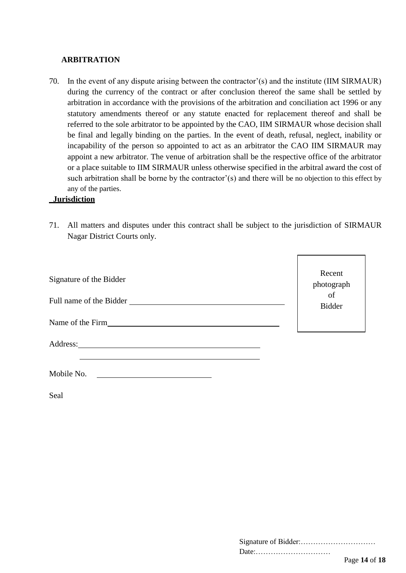#### **ARBITRATION**

70. In the event of any dispute arising between the contractor'(s) and the institute (IIM SIRMAUR) during the currency of the contract or after conclusion thereof the same shall be settled by arbitration in accordance with the provisions of the arbitration and conciliation act 1996 or any statutory amendments thereof or any statute enacted for replacement thereof and shall be referred to the sole arbitrator to be appointed by the CAO, IIM SIRMAUR whose decision shall be final and legally binding on the parties. In the event of death, refusal, neglect, inability or incapability of the person so appointed to act as an arbitrator the CAO IIM SIRMAUR may appoint a new arbitrator. The venue of arbitration shall be the respective office of the arbitrator or a place suitable to IIM SIRMAUR unless otherwise specified in the arbitral award the cost of such arbitration shall be borne by the contractor'(s) and there will be no objection to this effect by any of the parties.

#### **Jurisdiction**

71. All matters and disputes under this contract shall be subject to the jurisdiction of SIRMAUR Nagar District Courts only.

| Signature of the Bidder<br>Full name of the Bidder | Recent<br>$\begin{array}{c} \rm photograph \\ \rm of \end{array}$<br><b>Bidder</b> |
|----------------------------------------------------|------------------------------------------------------------------------------------|
| Name of the Firm                                   |                                                                                    |
| Address:                                           |                                                                                    |

| Mobile No. |  |
|------------|--|
|            |  |

Seal

| Date: |  |
|-------|--|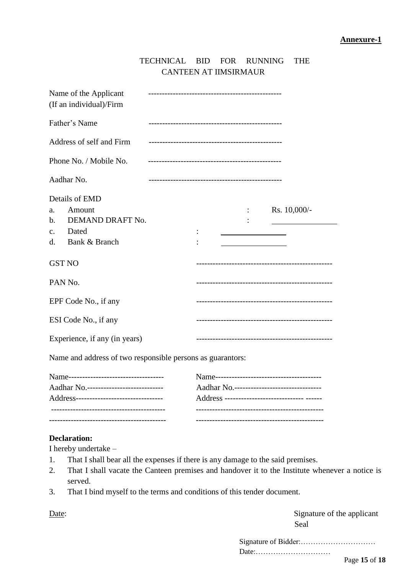| TECHNICAL BID FOR RUNNING THE |  |  |
|-------------------------------|--|--|
| CANTEEN AT IIMSIRMAUR         |  |  |

| Name of the Applicant<br>(If an individual)/Firm                                                                      |                                        |  |  |
|-----------------------------------------------------------------------------------------------------------------------|----------------------------------------|--|--|
| Father's Name                                                                                                         |                                        |  |  |
| Address of self and Firm                                                                                              |                                        |  |  |
| Phone No. / Mobile No.                                                                                                |                                        |  |  |
| Aadhar No.                                                                                                            |                                        |  |  |
| Details of EMD<br>Amount<br>a.<br>DEMAND DRAFT No.<br>$\mathbf{b}$ .<br>Dated<br>$C_{\bullet}$<br>Bank & Branch<br>d. | Rs. $10,000/-$                         |  |  |
| <b>GST NO</b>                                                                                                         |                                        |  |  |
| PAN No.                                                                                                               |                                        |  |  |
| EPF Code No., if any                                                                                                  |                                        |  |  |
| ESI Code No., if any                                                                                                  | -------------------------------------- |  |  |
| Experience, if any (in years)                                                                                         |                                        |  |  |
| Name and address of two responsible persons as guarantors:                                                            |                                        |  |  |
|                                                                                                                       |                                        |  |  |

| Address--------------------------------- |  |
|------------------------------------------|--|
| Aadhar No.-----------------------------  |  |
|                                          |  |

#### **Declaration:**

I hereby undertake –

- 1. That I shall bear all the expenses if there is any damage to the said premises.
- 2. That I shall vacate the Canteen premises and handover it to the Institute whenever a notice is served.
- 3. That I bind myself to the terms and conditions of this tender document.

Date: Signature of the applicant Seal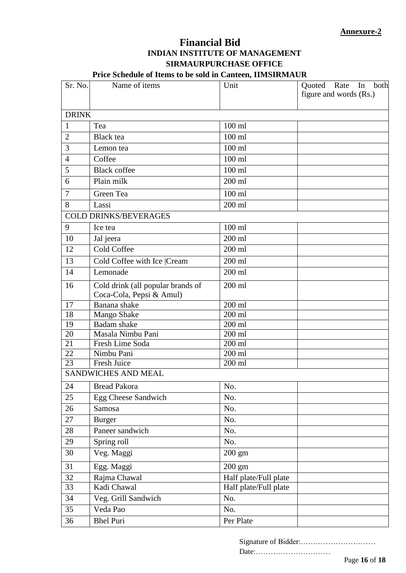## **Financial Bid INDIAN INSTITUTE OF MANAGEMENT SIRMAURPURCHASE OFFICE**

## **Price Schedule of Items to be sold in Canteen, IIMSIRMAUR**

| Sr. No.         | Name of items                                                 | Unit                  | both<br>Quoted Rate<br>In |
|-----------------|---------------------------------------------------------------|-----------------------|---------------------------|
|                 |                                                               |                       | figure and words (Rs.)    |
| <b>DRINK</b>    |                                                               |                       |                           |
| $\mathbf{1}$    | Tea                                                           | $100$ ml              |                           |
| $\mathbf{2}$    | <b>Black</b> tea                                              | $100$ ml              |                           |
| 3               | Lemon tea                                                     | $100$ ml              |                           |
| $\overline{4}$  | Coffee                                                        | 100 ml                |                           |
| 5               | <b>Black coffee</b>                                           | $100$ ml              |                           |
| 6               | Plain milk                                                    | $200$ ml              |                           |
| $\overline{7}$  | Green Tea                                                     | $100$ ml              |                           |
| 8               | Lassi                                                         | 200 ml                |                           |
|                 | <b>COLD DRINKS/BEVERAGES</b>                                  |                       |                           |
| 9               | Ice tea                                                       | $100$ ml              |                           |
| 10              | Jal jeera                                                     | 200 ml                |                           |
| 12              | Cold Coffee                                                   | 200 ml                |                           |
| 13              | Cold Coffee with Ice  Cream                                   | 200 ml                |                           |
| 14              | Lemonade                                                      | $200$ ml              |                           |
| 16              | Cold drink (all popular brands of<br>Coca-Cola, Pepsi & Amul) | 200 ml                |                           |
| 17              | Banana shake                                                  | 200 ml                |                           |
| $\overline{18}$ | Mango Shake                                                   | $\overline{200}$ ml   |                           |
| 19              | <b>Badam</b> shake                                            | 200 ml                |                           |
| 20              | Masala Nimbu Pani                                             | 200 ml                |                           |
| 21              | Fresh Lime Soda                                               | $200$ ml              |                           |
| 22              | Nimbu Pani                                                    | 200 ml                |                           |
| 23              | Fresh Juice                                                   | $200$ ml              |                           |
|                 | <b>SANDWICHES AND MEAL</b>                                    |                       |                           |
| 24              | Bread Pakora                                                  | No.                   |                           |
| 25              | Egg Cheese Sandwich                                           | No.                   |                           |
| 26              | Samosa                                                        | No.                   |                           |
| 27              | <b>Burger</b>                                                 | No.                   |                           |
| 28              | Paneer sandwich                                               | No.                   |                           |
| 29              | Spring roll                                                   | No.                   |                           |
| 30              | Veg. Maggi                                                    | $200 \text{ gm}$      |                           |
| 31              | Egg. Maggi                                                    | $200 \text{ gm}$      |                           |
| 32              | Rajma Chawal                                                  | Half plate/Full plate |                           |
| 33              | Kadi Chawal                                                   | Half plate/Full plate |                           |
| 34              | Veg. Grill Sandwich                                           | No.                   |                           |
| 35              | Veda Pao                                                      | No.                   |                           |
| 36              | <b>Bhel Puri</b>                                              | Per Plate             |                           |

Signature of Bidder:…………………………

Date:…………………………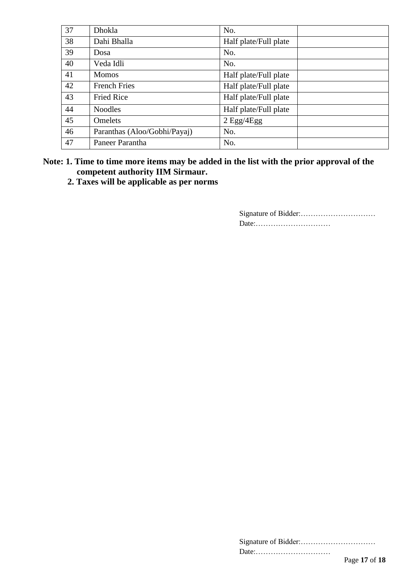| 37 | Dhokla                       | No.                   |
|----|------------------------------|-----------------------|
| 38 | Dahi Bhalla                  | Half plate/Full plate |
| 39 | Dosa                         | No.                   |
| 40 | Veda Idli                    | No.                   |
| 41 | <b>Momos</b>                 | Half plate/Full plate |
| 42 | <b>French Fries</b>          | Half plate/Full plate |
| 43 | <b>Fried Rice</b>            | Half plate/Full plate |
| 44 | <b>Noodles</b>               | Half plate/Full plate |
| 45 | Omelets                      | $2$ Egg/4Egg          |
| 46 | Paranthas (Aloo/Gobhi/Payaj) | No.                   |
| 47 | Paneer Parantha              | No.                   |

## **Note: 1. Time to time more items may be added in the list with the prior approval of the competent authority IIM Sirmaur.**

**2. Taxes will be applicable as per norms**

| Date: |               |
|-------|---------------|
|       | Page 17 of 18 |